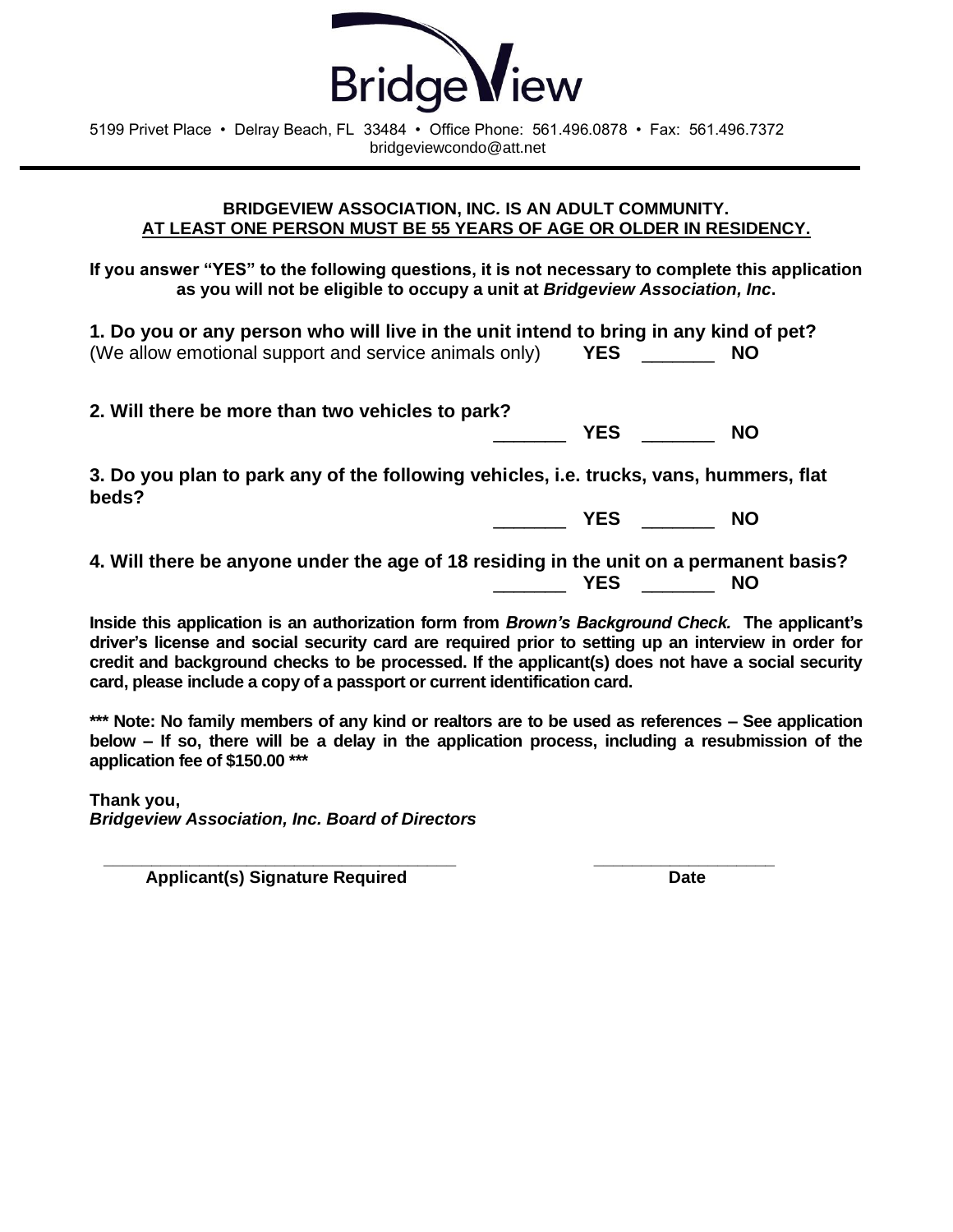

5199 Privet Place • Delray Beach, FL 33484 • Office Phone: 561.496.0878 • Fax: 561.496.7372 bridgeviewcondo@att.net

### **BRIDGEVIEW ASSOCIATION, INC***.* **IS AN ADULT COMMUNITY. AT LEAST ONE PERSON MUST BE 55 YEARS OF AGE OR OLDER IN RESIDENCY.**

**If you answer "YES" to the following questions, it is not necessary to complete this application as you will not be eligible to occupy a unit at** *Bridgeview Association, Inc***.** 

**1. Do you or any person who will live in the unit intend to bring in any kind of pet?**  (We allow emotional support and service animals only) **YES** \_\_\_\_\_\_\_ **NO**

**2. Will there be more than two vehicles to park?** 

**3. Do you plan to park any of the following vehicles, i.e. trucks, vans, hummers, flat beds?** 

\_\_\_\_\_\_\_ **YES** \_\_\_\_\_\_\_ **NO**

\_\_\_\_\_\_\_ **YES** \_\_\_\_\_\_\_ **NO**

**4. Will there be anyone under the age of 18 residing in the unit on a permanent basis?**  \_\_\_\_\_\_\_ **YES** \_\_\_\_\_\_\_ **NO**

**Inside this application is an authorization form from** *Brown's Background Check.* **The applicant's driver's license and social security card are required prior to setting up an interview in order for credit and background checks to be processed. If the applicant(s) does not have a social security card, please include a copy of a passport or current identification card.** 

**\*\*\* Note: No family members of any kind or realtors are to be used as references – See application below – If so, there will be a delay in the application process, including a resubmission of the application fee of \$150.00 \*\*\***

**Thank you,** *Bridgeview Association, Inc. Board of Directors*

 **\_\_\_\_\_\_\_\_\_\_\_\_\_\_\_\_\_\_\_\_\_\_\_\_\_\_\_\_\_\_\_\_\_\_\_\_\_ \_\_\_\_\_\_\_\_\_\_\_\_\_\_\_\_\_\_\_**  Applicant(s) Signature Required **Date** Date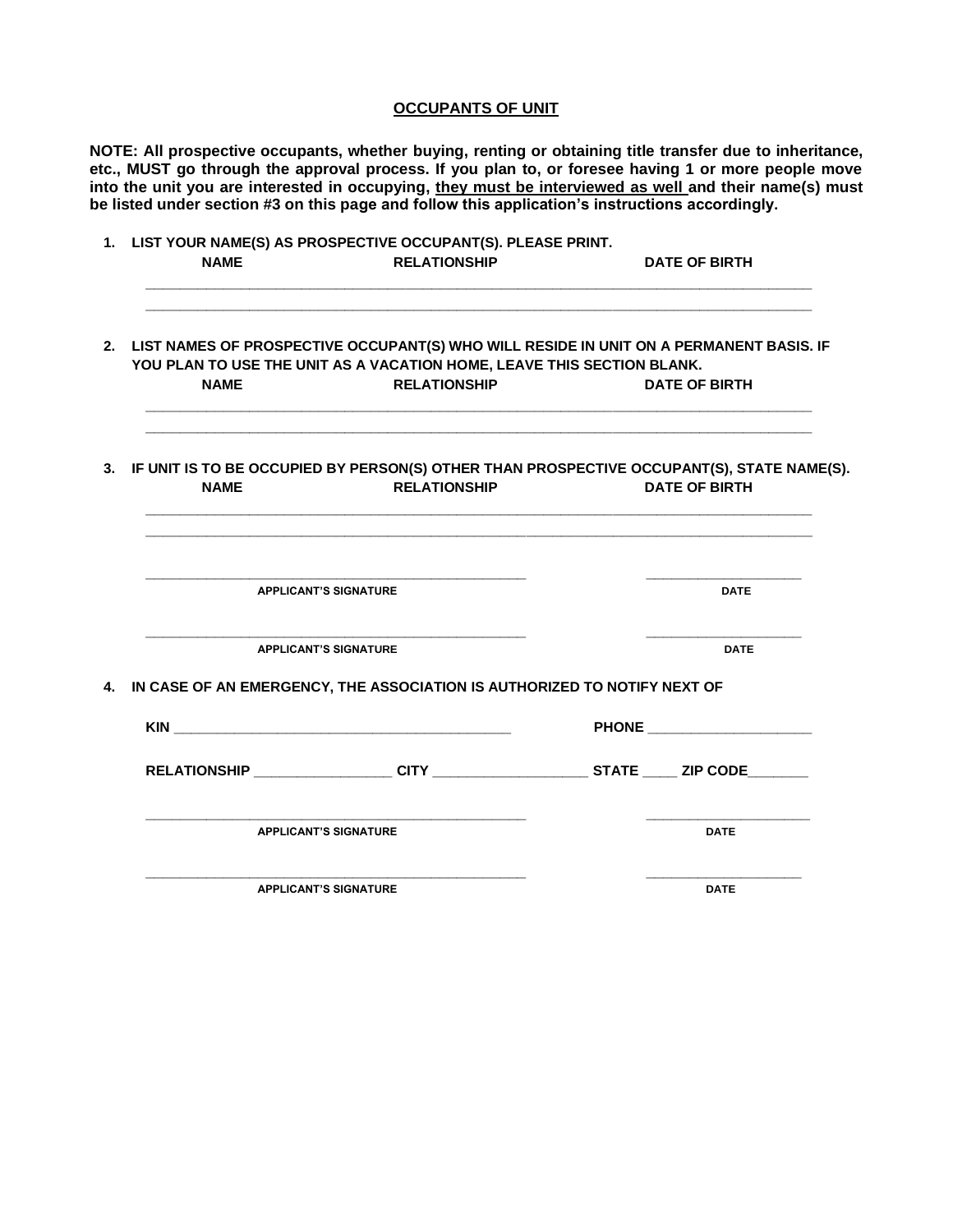#### **OCCUPANTS OF UNIT**

**NOTE: All prospective occupants, whether buying, renting or obtaining title transfer due to inheritance, etc., MUST go through the approval process. If you plan to, or foresee having 1 or more people move into the unit you are interested in occupying, they must be interviewed as well and their name(s) must be listed under section #3 on this page and follow this application's instructions accordingly.** 

| <b>NAME</b> | <b>RELATIONSHIP</b>                                                                           | <b>DATE OF BIRTH</b>                                                                                                 |
|-------------|-----------------------------------------------------------------------------------------------|----------------------------------------------------------------------------------------------------------------------|
| <b>NAME</b> | YOU PLAN TO USE THE UNIT AS A VACATION HOME, LEAVE THIS SECTION BLANK.<br><b>RELATIONSHIP</b> | 2. LIST NAMES OF PROSPECTIVE OCCUPANT(S) WHO WILL RESIDE IN UNIT ON A PERMANENT BASIS. IF<br><b>DATE OF BIRTH</b>    |
|             |                                                                                               |                                                                                                                      |
| <b>NAME</b> | <b>RELATIONSHIP</b>                                                                           | 3. IF UNIT IS TO BE OCCUPIED BY PERSON(S) OTHER THAN PROSPECTIVE OCCUPANT(S), STATE NAME(S).<br><b>DATE OF BIRTH</b> |
|             | <b>APPLICANT'S SIGNATURE</b>                                                                  | <b>DATE</b>                                                                                                          |
|             | <b>APPLICANT'S SIGNATURE</b>                                                                  | <b>DATE</b>                                                                                                          |
|             | 4. IN CASE OF AN EMERGENCY, THE ASSOCIATION IS AUTHORIZED TO NOTIFY NEXT OF                   |                                                                                                                      |
|             |                                                                                               | PHONE _______________                                                                                                |
|             |                                                                                               | RELATIONSHIP ____________________CITY ________________________STATE ______ ZIP CODE________                          |
|             | <b>APPLICANT'S SIGNATURE</b>                                                                  | <b>DATE</b>                                                                                                          |
|             | <b>APPLICANT'S SIGNATURE</b>                                                                  | <b>DATE</b>                                                                                                          |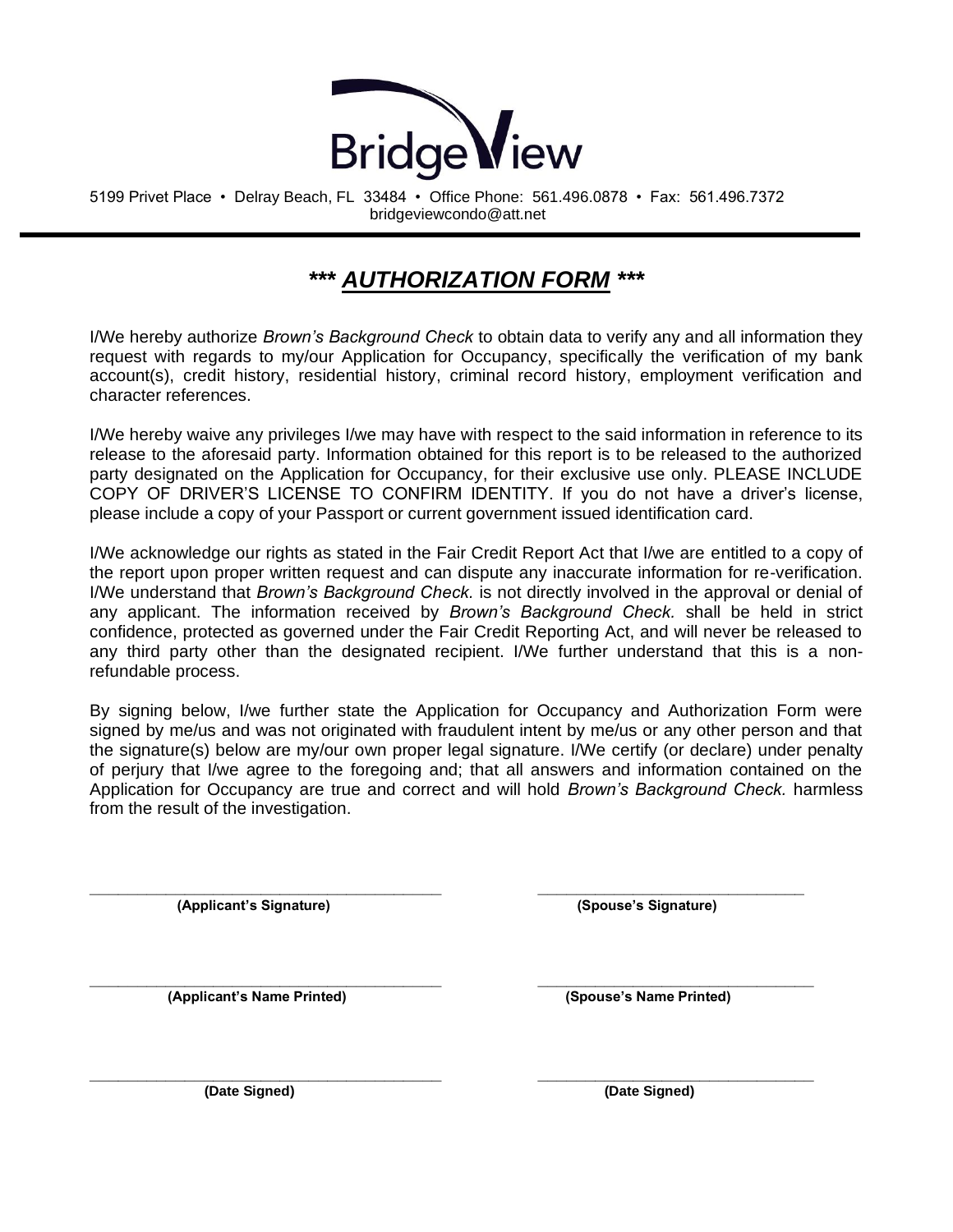

5199 Privet Place • Delray Beach, FL 33484 • Office Phone: 561.496.0878 • Fax: 561.496.7372 bridgeviewcondo@att.net

# *\*\*\* AUTHORIZATION FORM \*\*\**

I/We hereby authorize *Brown's Background Check* to obtain data to verify any and all information they request with regards to my/our Application for Occupancy, specifically the verification of my bank account(s), credit history, residential history, criminal record history, employment verification and character references.

I/We hereby waive any privileges I/we may have with respect to the said information in reference to its release to the aforesaid party. Information obtained for this report is to be released to the authorized party designated on the Application for Occupancy, for their exclusive use only. PLEASE INCLUDE COPY OF DRIVER'S LICENSE TO CONFIRM IDENTITY. If you do not have a driver's license, please include a copy of your Passport or current government issued identification card.

I/We acknowledge our rights as stated in the Fair Credit Report Act that I/we are entitled to a copy of the report upon proper written request and can dispute any inaccurate information for re-verification. I/We understand that *Brown's Background Check.* is not directly involved in the approval or denial of any applicant. The information received by *Brown's Background Check.* shall be held in strict confidence, protected as governed under the Fair Credit Reporting Act, and will never be released to any third party other than the designated recipient. I/We further understand that this is a nonrefundable process.

By signing below, I/we further state the Application for Occupancy and Authorization Form were signed by me/us and was not originated with fraudulent intent by me/us or any other person and that the signature(s) below are my/our own proper legal signature. I/We certify (or declare) under penalty of perjury that I/we agree to the foregoing and; that all answers and information contained on the Application for Occupancy are true and correct and will hold *Brown's Background Check.* harmless from the result of the investigation.

**\_\_\_\_\_\_\_\_\_\_\_\_\_\_\_\_\_\_\_\_\_\_\_\_\_\_\_\_\_\_\_\_\_\_\_\_\_ \_\_\_\_\_\_\_\_\_\_\_\_\_\_\_\_\_\_\_\_\_\_\_\_\_\_\_\_\_**

 **(Applicant's Signature) (Spouse's Signature)**

**\_\_\_\_\_\_\_\_\_\_\_\_\_\_\_\_\_\_\_\_\_\_\_\_\_\_\_\_\_\_\_\_\_\_\_\_\_ \_\_\_\_\_\_\_\_\_\_\_\_\_\_\_\_\_\_\_\_\_\_\_\_\_\_\_\_**

**\_\_\_\_\_\_\_\_\_\_\_\_\_\_\_\_\_\_\_\_\_\_\_\_\_\_\_\_\_\_\_\_\_\_\_\_\_ \_\_\_\_\_\_\_\_\_\_\_\_\_\_\_\_\_\_\_\_\_\_\_\_\_\_\_\_\_ (Applicant's Name Printed) (Spouse's Name Printed)**

 **(Date Signed) (Date Signed)**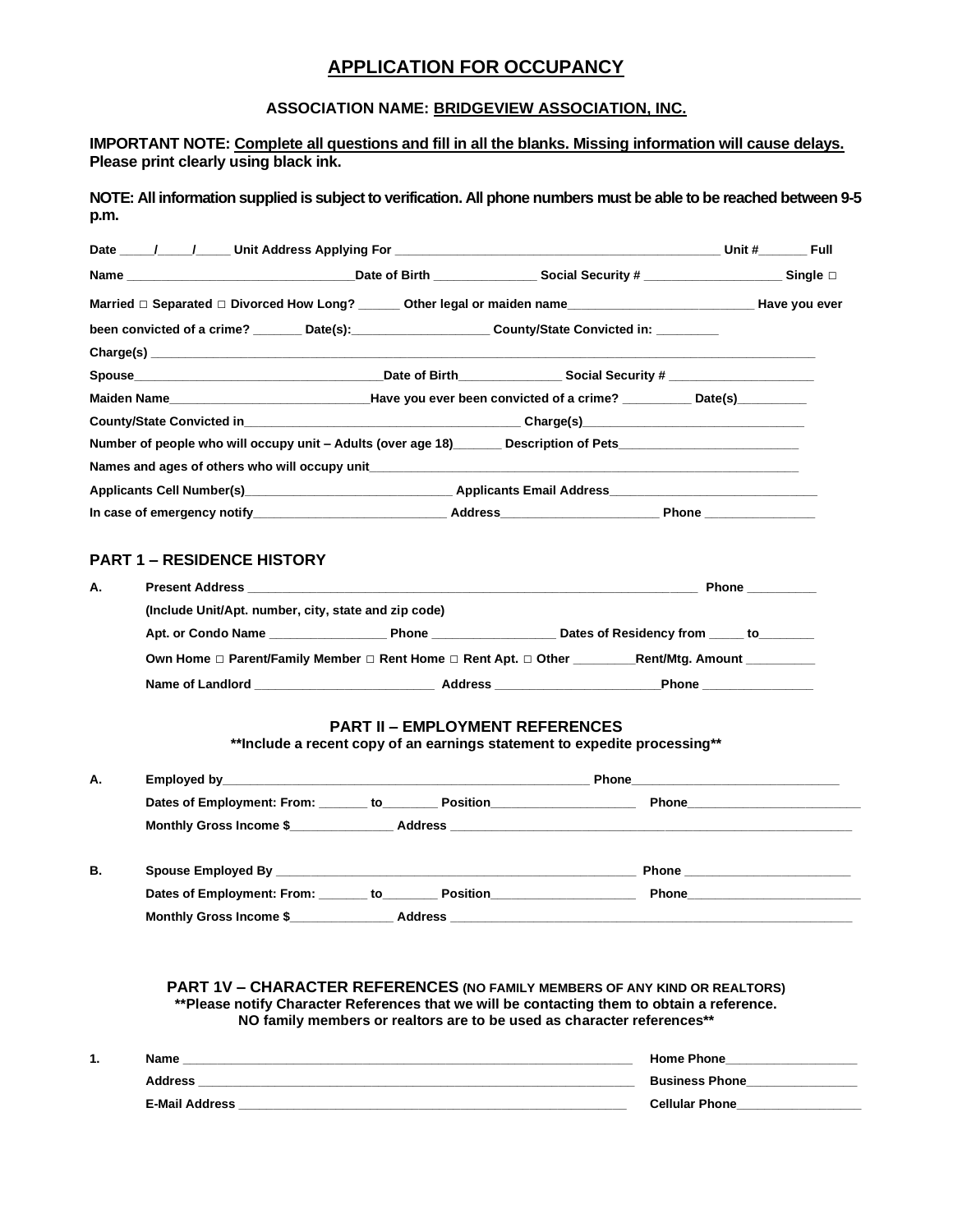### **APPLICATION FOR OCCUPANCY**

### **ASSOCIATION NAME: BRIDGEVIEW ASSOCIATION, INC.**

**IMPORTANT NOTE: Complete all questions and fill in all the blanks. Missing information will cause delays. Please print clearly using black ink.**

**NOTE: All information supplied is subject to verification. All phone numbers must be able to be reached between 9-5 p.m.**

| Married □ Separated □ Divorced How Long? _______ Other legal or maiden name_______________________________Have you ever |  |                    |  |
|-------------------------------------------------------------------------------------------------------------------------|--|--------------------|--|
| been convicted of a crime? ________ Date(s): _______________________ County/State Convicted in: _________               |  |                    |  |
|                                                                                                                         |  |                    |  |
|                                                                                                                         |  |                    |  |
|                                                                                                                         |  |                    |  |
|                                                                                                                         |  |                    |  |
| Number of people who will occupy unit - Adults (over age 18) ______ Description of Pets______________________           |  |                    |  |
| Names and ages of others who will occupy unit example and all examples and ages of others who will occupy unit          |  |                    |  |
|                                                                                                                         |  |                    |  |
| In case of emergency notify____________________________Address__________________                                        |  | Phone ____________ |  |

### **PART 1 – RESIDENCE HISTORY**

**Monthly Gross Income \$\_\_\_\_\_\_\_\_\_\_\_\_\_\_\_ Address \_\_\_\_\_\_\_\_\_\_\_\_\_\_\_\_\_\_\_\_\_\_\_\_\_\_\_\_\_\_\_\_\_\_\_\_\_\_\_\_\_\_\_\_\_\_\_\_\_\_\_\_\_\_\_\_\_\_**

| А. | <b>Present Address Example 2018</b>                                                        | Phone                                                                                                                                                                                                                              |                            |  |
|----|--------------------------------------------------------------------------------------------|------------------------------------------------------------------------------------------------------------------------------------------------------------------------------------------------------------------------------------|----------------------------|--|
|    | (Include Unit/Apt. number, city, state and zip code)                                       |                                                                                                                                                                                                                                    |                            |  |
|    | Apt. or Condo Name                                                                         | <b>Phone Contract Contract Contract Contract Contract Contract Contract Contract Contract Contract Contract Contract Contract Contract Contract Contract Contract Contract Contract Contract Contract Contract Contract Contra</b> | Dates of Residency from to |  |
|    | Own Home □ Parent/Family Member □ Rent Home □ Rent Apt. □ Other<br><b>Rent/Mtg. Amount</b> |                                                                                                                                                                                                                                    |                            |  |
|    | Name of Landlord                                                                           | Address                                                                                                                                                                                                                            | Phone                      |  |

### **PART II – EMPLOYMENT REFERENCES**

**\*\*Include a recent copy of an earnings statement to expedite processing\*\***

| А. |                                                                                                                                                                                                                                                                     |                               |  |
|----|---------------------------------------------------------------------------------------------------------------------------------------------------------------------------------------------------------------------------------------------------------------------|-------------------------------|--|
|    | Dates of Employment: From: _______ to_________ Position_________________________                                                                                                                                                                                    | Phone___________________      |  |
|    | Monthly Gross Income \$                                                                                                                                                                                                                                             |                               |  |
| В. |                                                                                                                                                                                                                                                                     | Phone <u>________________</u> |  |
|    | Dates of Employment: From: to<br><b>Position Contract Contract Contract Contract Contract Contract Contract Contract Contract Contract Contract Contract Contract Contract Contract Contract Contract Contract Contract Contract Contract Contract Contract Con</b> | Phone                         |  |

**PART 1V – CHARACTER REFERENCES (NO FAMILY MEMBERS OF ANY KIND OR REALTORS) \*\*Please notify Character References that we will be contacting them to obtain a reference. NO family members or realtors are to be used as character references\*\***

| <br>Name              | <b>Home Phone</b>     |
|-----------------------|-----------------------|
| <b>Address</b>        | <b>Business Phone</b> |
| <b>E-Mail Address</b> | <b>Cellular Phone</b> |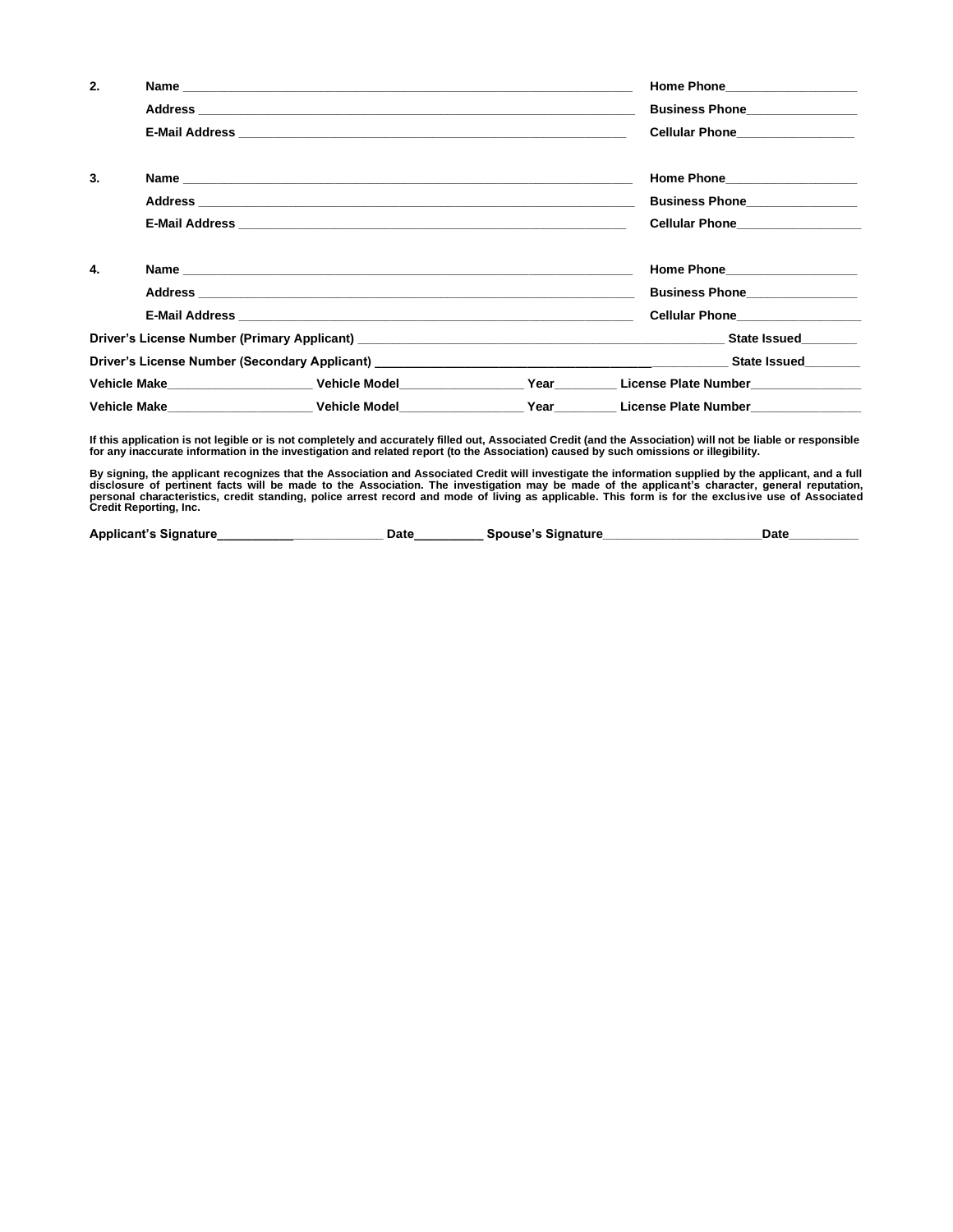| 2. |                                      | Home Phone 2008 2010 2021 2022 2022 2023                                                                                                                                                                                       |
|----|--------------------------------------|--------------------------------------------------------------------------------------------------------------------------------------------------------------------------------------------------------------------------------|
|    |                                      | Business Phone________________                                                                                                                                                                                                 |
|    |                                      | Cellular Phone________________                                                                                                                                                                                                 |
| 3. |                                      | Home Phone____________________                                                                                                                                                                                                 |
|    |                                      | Business Phone_______________                                                                                                                                                                                                  |
|    |                                      | Cellular Phone <b>Cellular</b> Phone                                                                                                                                                                                           |
| 4. |                                      | Home Phone Management Communications                                                                                                                                                                                           |
|    |                                      | Business Phone________________                                                                                                                                                                                                 |
|    |                                      | <b>Cellular Phone Cellular</b> Phone                                                                                                                                                                                           |
|    |                                      | Driver's License Number (Primary Applicant) Law and Contract Contract Contract Contract Contract Contract Contract Contract Contract Contract Contract Contract Contract Contract Contract Contract Contract Contract Contract |
|    |                                      |                                                                                                                                                                                                                                |
|    |                                      | Vehicle Make            Vehicle Model           Year     License Plate Number                                                                                                                                                  |
|    | Vehicle Make National Methicle Model | Year Cicense Plate Number                                                                                                                                                                                                      |

If this application is not legible or is not completely and accurately filled out, Associated Credit (and the Association) will not be liable or responsible<br>for any inaccurate information in the investigation and related r

By signing, the applicant recognizes that the Association and Associated Credit will investigate the information supplied by the applicant, and a full<br>disclosure of pertinent facts will be made to the Association. The inve

| <b>Applicant's Signature</b> | Date | Spouse's Signature | Date |  |
|------------------------------|------|--------------------|------|--|
|                              |      |                    |      |  |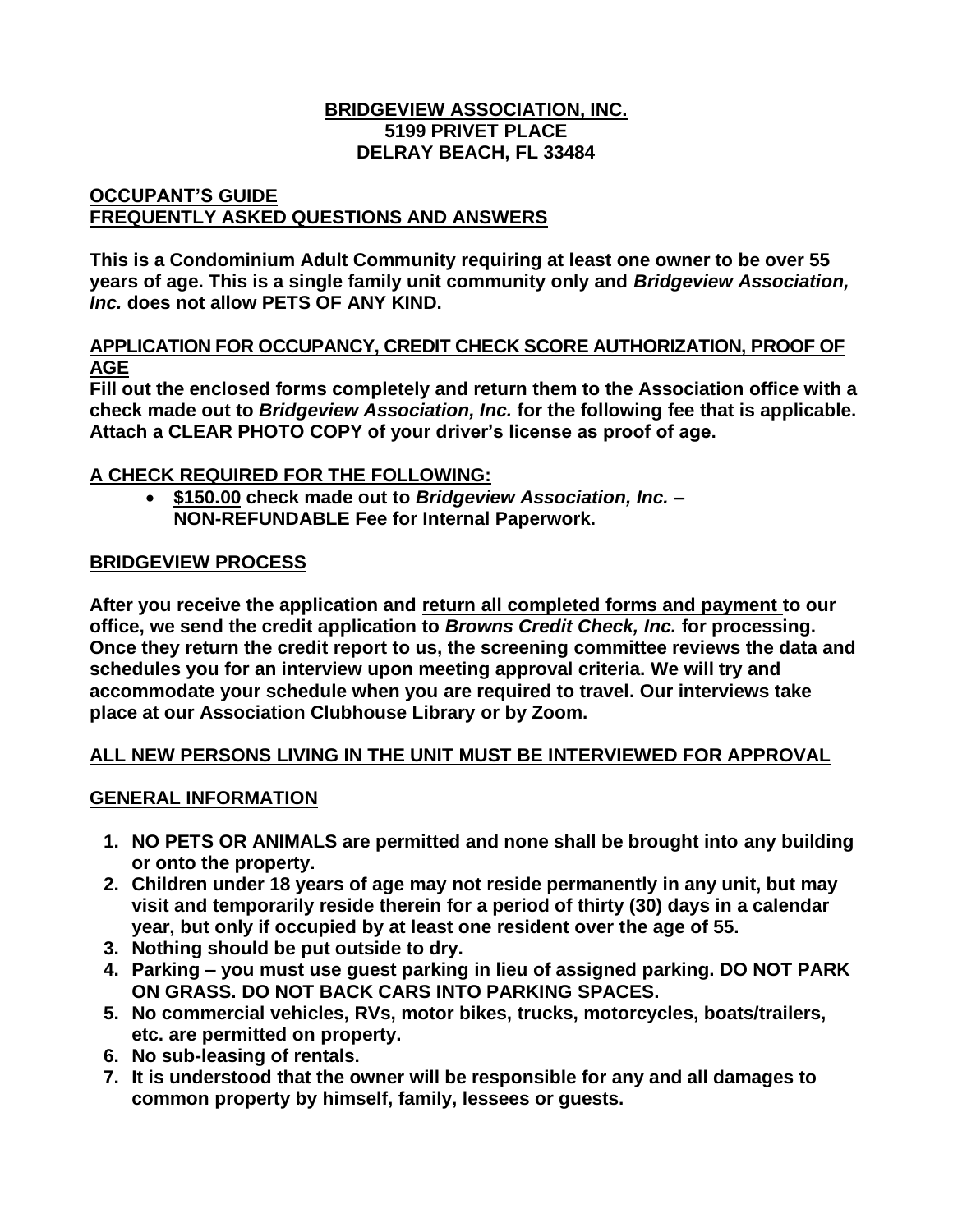### **BRIDGEVIEW ASSOCIATION, INC. 5199 PRIVET PLACE DELRAY BEACH, FL 33484**

# **OCCUPANT'S GUIDE FREQUENTLY ASKED QUESTIONS AND ANSWERS**

**This is a Condominium Adult Community requiring at least one owner to be over 55 years of age. This is a single family unit community only and** *Bridgeview Association, Inc.* **does not allow PETS OF ANY KIND.**

### **APPLICATION FOR OCCUPANCY, CREDIT CHECK SCORE AUTHORIZATION, PROOF OF AGE**

**Fill out the enclosed forms completely and return them to the Association office with a check made out to** *Bridgeview Association, Inc.* **for the following fee that is applicable. Attach a CLEAR PHOTO COPY of your driver's license as proof of age.**

# **A CHECK REQUIRED FOR THE FOLLOWING:**

• **\$150.00 check made out to** *Bridgeview Association, Inc.* **– NON-REFUNDABLE Fee for Internal Paperwork.**

# **BRIDGEVIEW PROCESS**

**After you receive the application and return all completed forms and payment to our office, we send the credit application to** *Browns Credit Check, Inc.* **for processing. Once they return the credit report to us, the screening committee reviews the data and schedules you for an interview upon meeting approval criteria. We will try and accommodate your schedule when you are required to travel. Our interviews take place at our Association Clubhouse Library or by Zoom.**

# **ALL NEW PERSONS LIVING IN THE UNIT MUST BE INTERVIEWED FOR APPROVAL**

# **GENERAL INFORMATION**

- **1. NO PETS OR ANIMALS are permitted and none shall be brought into any building or onto the property.**
- **2. Children under 18 years of age may not reside permanently in any unit, but may visit and temporarily reside therein for a period of thirty (30) days in a calendar year, but only if occupied by at least one resident over the age of 55.**
- **3. Nothing should be put outside to dry.**
- **4. Parking – you must use guest parking in lieu of assigned parking. DO NOT PARK ON GRASS. DO NOT BACK CARS INTO PARKING SPACES.**
- **5. No commercial vehicles, RVs, motor bikes, trucks, motorcycles, boats/trailers, etc. are permitted on property.**
- **6. No sub-leasing of rentals.**
- **7. It is understood that the owner will be responsible for any and all damages to common property by himself, family, lessees or guests.**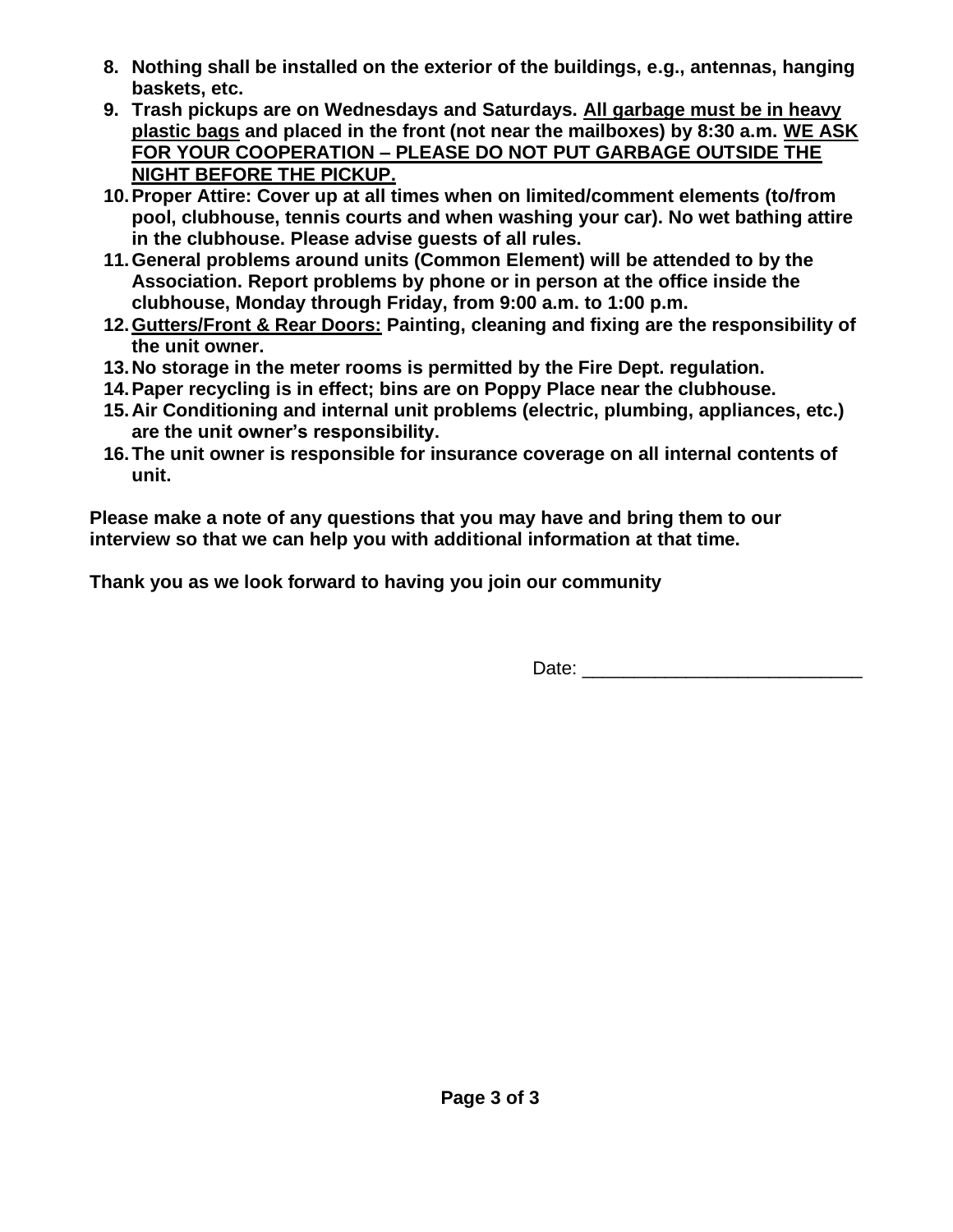- **8. Nothing shall be installed on the exterior of the buildings, e.g., antennas, hanging baskets, etc.**
- **9. Trash pickups are on Wednesdays and Saturdays. All garbage must be in heavy plastic bags and placed in the front (not near the mailboxes) by 8:30 a.m. WE ASK FOR YOUR COOPERATION – PLEASE DO NOT PUT GARBAGE OUTSIDE THE NIGHT BEFORE THE PICKUP.**
- **10.Proper Attire: Cover up at all times when on limited/comment elements (to/from pool, clubhouse, tennis courts and when washing your car). No wet bathing attire in the clubhouse. Please advise guests of all rules.**
- **11.General problems around units (Common Element) will be attended to by the Association. Report problems by phone or in person at the office inside the clubhouse, Monday through Friday, from 9:00 a.m. to 1:00 p.m.**
- **12.Gutters/Front & Rear Doors: Painting, cleaning and fixing are the responsibility of the unit owner.**
- **13.No storage in the meter rooms is permitted by the Fire Dept. regulation.**
- **14.Paper recycling is in effect; bins are on Poppy Place near the clubhouse.**
- **15.Air Conditioning and internal unit problems (electric, plumbing, appliances, etc.) are the unit owner's responsibility.**
- **16.The unit owner is responsible for insurance coverage on all internal contents of unit.**

**Please make a note of any questions that you may have and bring them to our interview so that we can help you with additional information at that time.**

**Thank you as we look forward to having you join our community**

Date: